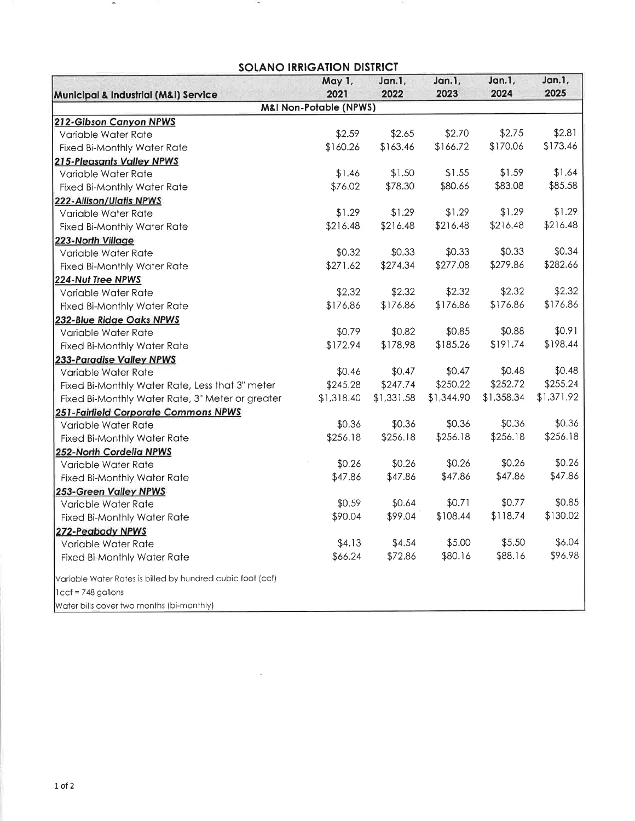## **SOLANO IRRIGATION DISTRICT**

 $\sim$ 

|                                                             | May 1,<br>2021 | Jan.1,<br>2022 | Jan.1,<br>2023 | Jan.1,<br>2024 | Jan.1,<br>2025 |  |  |  |
|-------------------------------------------------------------|----------------|----------------|----------------|----------------|----------------|--|--|--|
| Municipal & Industrial (M&I) Service                        |                |                |                |                |                |  |  |  |
| <b>M&amp;I Non-Potable (NPWS)</b><br>212-Gibson Canyon NPWS |                |                |                |                |                |  |  |  |
| Variable Water Rate                                         | \$2.59         | \$2.65         | \$2.70         | \$2.75         | \$2.81         |  |  |  |
| <b>Fixed Bi-Monthly Water Rate</b>                          | \$160.26       | \$163.46       | \$166.72       | \$170.06       | \$173.46       |  |  |  |
| <b>215-Pleasants Valley NPWS</b>                            |                |                |                |                |                |  |  |  |
| Variable Water Rate                                         | \$1.46         | \$1.50         | \$1.55         | \$1.59         | \$1.64         |  |  |  |
| <b>Fixed Bi-Monthly Water Rate</b>                          | \$76.02        | \$78.30        | \$80.66        | \$83.08        | \$85.58        |  |  |  |
| 222-Allison/Ulatis NPWS                                     |                |                |                |                |                |  |  |  |
| Variable Water Rate                                         | \$1.29         | \$1.29         | \$1.29         | \$1.29         | \$1.29         |  |  |  |
| <b>Fixed Bi-Monthly Water Rate</b>                          | \$216.48       | \$216.48       | \$216.48       | \$216.48       | \$216.48       |  |  |  |
| 223-North Village                                           |                |                |                |                |                |  |  |  |
| Variable Water Rate                                         | \$0.32         | \$0.33         | \$0.33         | \$0.33         | \$0.34         |  |  |  |
| Fixed Bi-Monthly Water Rate                                 | \$271.62       | \$274.34       | \$277.08       | \$279.86       | \$282.66       |  |  |  |
| 224-Nut Tree NPWS                                           |                |                |                |                |                |  |  |  |
| Variable Water Rate                                         | \$2.32         | \$2.32         | \$2.32         | \$2.32         | \$2.32         |  |  |  |
| <b>Fixed Bi-Monthly Water Rate</b>                          | \$176.86       | \$176.86       | \$176.86       | \$176.86       | \$176.86       |  |  |  |
| 232-Blue Ridge Oaks NPWS                                    |                |                |                |                |                |  |  |  |
| Variable Water Rate                                         | \$0.79         | \$0.82         | \$0.85         | \$0.88         | \$0.91         |  |  |  |
| <b>Fixed Bi-Monthly Water Rate</b>                          | \$172.94       | \$178.98       | \$185.26       | \$191.74       | \$198.44       |  |  |  |
| 233-Paradise Valley NPWS                                    |                |                |                |                |                |  |  |  |
| Variable Water Rate                                         | \$0.46         | \$0.47         | \$0.47         | \$0.48         | \$0.48         |  |  |  |
| Fixed Bi-Monthly Water Rate, Less that 3" meter             | \$245.28       | \$247.74       | \$250.22       | \$252.72       | \$255.24       |  |  |  |
| Fixed Bi-Monthly Water Rate, 3" Meter or greater            | \$1,318.40     | \$1,331.58     | \$1,344.90     | \$1,358.34     | \$1,371.92     |  |  |  |
| 251-Fairfield Corporate Commons NPWS                        |                |                |                |                |                |  |  |  |
| Variable Water Rate                                         | \$0.36         | \$0.36         | \$0.36         | \$0.36         | \$0.36         |  |  |  |
| <b>Fixed Bi-Monthly Water Rate</b>                          | \$256.18       | \$256.18       | \$256.18       | \$256.18       | \$256.18       |  |  |  |
| 252-North Cordelia NPWS                                     |                |                |                |                |                |  |  |  |
| Variable Water Rate                                         | \$0.26         | \$0.26         | \$0.26         | \$0.26         | \$0.26         |  |  |  |
| <b>Fixed Bi-Monthly Water Rate</b>                          | \$47.86        | \$47.86        | \$47.86        | \$47.86        | \$47.86        |  |  |  |
| 253-Green Valley NPWS                                       |                |                |                |                |                |  |  |  |
| Variable Water Rate                                         | \$0.59         | \$0.64         | \$0.71         | \$0.77         | \$0.85         |  |  |  |
| <b>Fixed Bi-Monthly Water Rate</b>                          | \$90.04        | \$99.04        | \$108.44       | \$118.74       | \$130.02       |  |  |  |
| 272-Peabody NPWS                                            |                |                |                |                |                |  |  |  |
| Variable Water Rate                                         | \$4.13         | \$4.54         | \$5.00         | \$5.50         | \$6.04         |  |  |  |
| <b>Fixed Bi-Monthly Water Rate</b>                          | \$66.24        | \$72.86        | \$80.16        | \$88.16        | \$96.98        |  |  |  |
| Variable Water Rates is billed by hundred cubic foot (ccf)  |                |                |                |                |                |  |  |  |
| $lccf = 748$ gallons                                        |                |                |                |                |                |  |  |  |
| Water bills cover two months (bi-monthly)                   |                |                |                |                |                |  |  |  |

 $\sim$